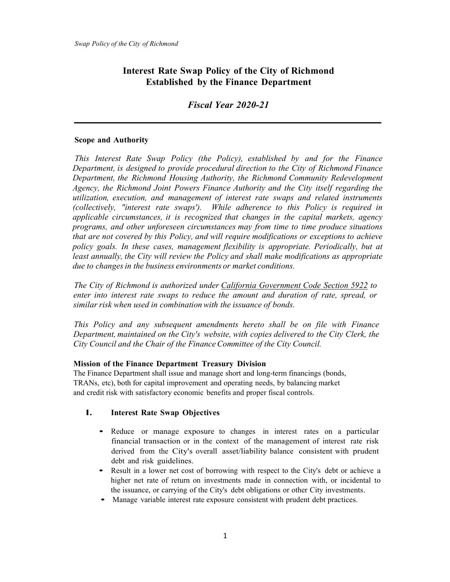# **Interest Rate Swap Policy of the City of Richmond Established by the Finance Department**

*Fiscal Year 2020-21*

## **Scope and Authority**

*This Interest Rate Swap Policy (the Policy), established by and for the Finance Department, is designed to provide procedural direction to the City of Richmond Finance Department, the Richmond Housing Authority, the Richmond Community Redevelopment Agency, the Richmond Joint Powers Finance Authority and the City itself regarding the utilization, execution, and management of interest rate swaps and related instruments (collectively, "interest rate swaps'). While adherence to this Policy is required in applicable circumstances, it is recognized that changes in the capital markets, agency programs, and other unforeseen circumstances may from time to time produce situations that are not covered by this Policy, and will require modifications or exceptions to achieve policy goals. In these cases, management flexibility is appropriate. Periodically, but at least annually, the City will review the Policy and shall make modifications as appropriate due to changes in the business environments or market conditions.*

*The City of Richmond is authorized under California Government Code Section 5922 to enter into interest rate swaps to reduce the amount and duration of rate, spread, or similar risk when used in combination with the issuance of bonds.*

*This Policy and any subsequent amendments hereto shall be on file with Finance Department, maintained on the City's website, with copies delivered to the City Clerk, the City Council and the Chair of the Finance Committee of the City Council.*

#### **Mission of the Finance Department Treasury Division**

The Finance Department shall issue and manage short and long-term financings (bonds, TRANs, etc), both for capital improvement and operating needs, by balancing market and credit risk with satisfactory economic benefits and proper fiscal controls.

## **I. Interest Rate Swap Objectives**

- Reduce or manage exposure to changes in interest rates on a particular financial transaction or in the context of the management of interest rate risk derived from the City's overall asset/liability balance consistent with prudent debt and risk guidelines.
- Result in a lower net cost of borrowing with respect to the City's debt or achieve a higher net rate of return on investments made in connection with, or incidental to the issuance, or carrying of the City's debt obligations or other City investments.
- Manage variable interest rate exposure consistent with prudent debt practices.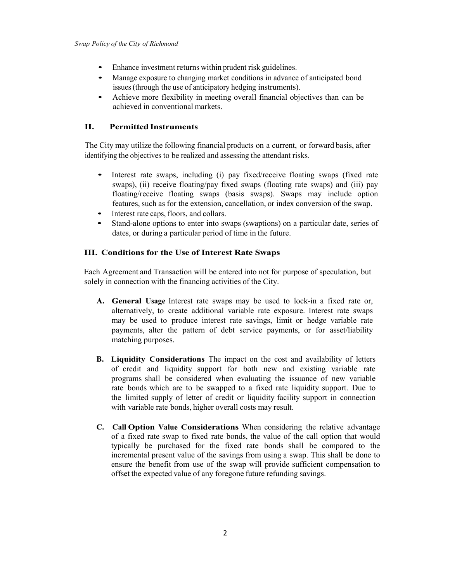- Enhance investment returns within prudent risk guidelines.
- Manage exposure to changing market conditions in advance of anticipated bond issues (through the use of anticipatory hedging instruments).
- Achieve more flexibility in meeting overall financial objectives than can be achieved in conventional markets.

## **II. Permitted Instruments**

The City may utilize the following financial products on a current, or forward basis, after identifying the objectives to be realized and assessing the attendant risks.

- Interest rate swaps, including (i) pay fixed/receive floating swaps (fixed rate swaps), (ii) receive floating/pay fixed swaps (floating rate swaps) and (iii) pay floating/receive floating swaps (basis swaps). Swaps may include option features, such as for the extension, cancellation, or index conversion of the swap.
- Interest rate caps, floors, and collars.
- Stand-alone options to enter into swaps (swaptions) on a particular date, series of dates, or during a particular period of time in the future.

## **III. Conditions for the Use of Interest Rate Swaps**

Each Agreement and Transaction will be entered into not for purpose of speculation, but solely in connection with the financing activities of the City.

- **A. General Usage** Interest rate swaps may be used to lock-in a fixed rate or, alternatively, to create additional variable rate exposure. Interest rate swaps may be used to produce interest rate savings, limit or hedge variable rate payments, alter the pattern of debt service payments, or for asset/liability matching purposes.
- **B. Liquidity Considerations** The impact on the cost and availability of letters of credit and liquidity support for both new and existing variable rate programs shall be considered when evaluating the issuance of new variable rate bonds which are to be swapped to a fixed rate liquidity support. Due to the limited supply of letter of credit or liquidity facility support in connection with variable rate bonds, higher overall costs may result.
- **C. Call Option Value Considerations** When considering the relative advantage of a fixed rate swap to fixed rate bonds, the value of the call option that would typically be purchased for the fixed rate bonds shall be compared to the incremental present value of the savings from using a swap. This shall be done to ensure the benefit from use of the swap will provide sufficient compensation to offset the expected value of any foregone future refunding savings.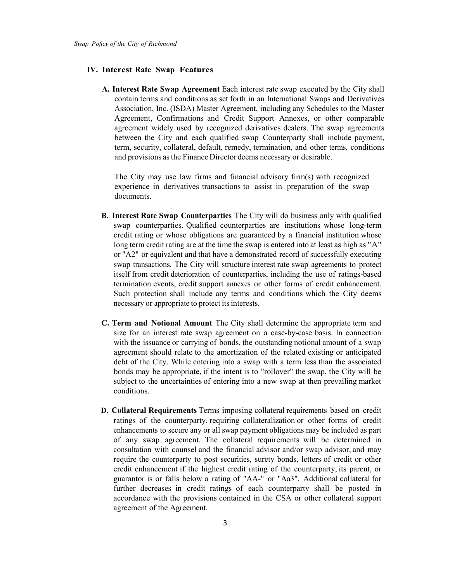#### **IV. Interest Rate Swap Features**

**A. Interest Rate Swap Agreement** Each interest rate swap executed by the City shall contain terms and conditions as set forth in an International Swaps and Derivatives Association, Inc. (ISDA) Master Agreement, including any Schedules to the Master Agreement, Confirmations and Credit Support Annexes, or other comparable agreement widely used by recognized derivatives dealers. The swap agreements between the City and each qualified swap Counterparty shall include payment, term, security, collateral, default, remedy, termination, and other terms, conditions and provisions as the Finance Director deems necessary or desirable.

The City may use law firms and financial advisory firm(s) with recognized experience in derivatives transactions to assist in preparation of the swap documents.

- **B. Interest Rate Swap Counterparties** The City will do business only with qualified swap counterparties. Qualified counterparties are institutions whose long-term credit rating or whose obligations are guaranteed by a financial institution whose long term credit rating are at the time the swap is entered into at least as high as "A" or "A2" or equivalent and that have a demonstrated record of successfully executing swap transactions. The City will structure interest rate swap agreements to protect itself from credit deterioration of counterparties, including the use of ratings-based termination events, credit support annexes or other forms of credit enhancement. Such protection shall include any terms and conditions which the City deems necessary or appropriate to protect its interests.
- **C. Term and Notional Amount** The City shall determine the appropriate term and size for an interest rate swap agreement on a case-by-case basis. In connection with the issuance or carrying of bonds, the outstanding notional amount of a swap agreement should relate to the amortization of the related existing or anticipated debt of the City. While entering into a swap with a term less than the associated bonds may be appropriate, if the intent is to "rollover" the swap, the City will be subject to the uncertainties of entering into a new swap at then prevailing market conditions.
- **D. Collateral Requirements** Terms imposing collateral requirements based on credit ratings of the counterparty, requiring collateralization or other forms of credit enhancements to secure any or all swap payment obligations may be included as part of any swap agreement. The collateral requirements will be determined in consultation with counsel and the financial advisor and/or swap advisor, and may require the counterparty to post securities, surety bonds, letters of credit or other credit enhancement if the highest credit rating of the counterparty, its parent, or guarantor is or falls below a rating of "AA-" or "Aa3". Additional collateral for further decreases in credit ratings of each counterparty shall be posted in accordance with the provisions contained in the CSA or other collateral support agreement of the Agreement.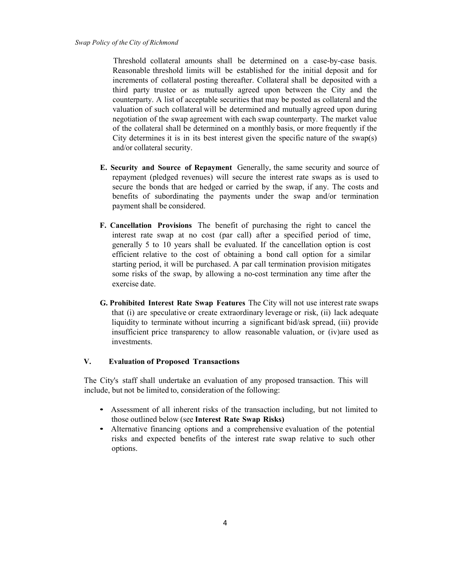Threshold collateral amounts shall be determined on a case-by-case basis. Reasonable threshold limits will be established for the initial deposit and for increments of collateral posting thereafter. Collateral shall be deposited with a third party trustee or as mutually agreed upon between the City and the counterparty. A list of acceptable securities that may be posted as collateral and the valuation of such collateral will be determined and mutually agreed upon during negotiation of the swap agreement with each swap counterparty. The market value of the collateral shall be determined on a monthly basis, or more frequently if the City determines it is in its best interest given the specific nature of the swap(s) and/or collateral security.

- **E. Security and Source of Repayment** Generally, the same security and source of repayment (pledged revenues) will secure the interest rate swaps as is used to secure the bonds that are hedged or carried by the swap, if any. The costs and benefits of subordinating the payments under the swap and/or termination payment shall be considered.
- **F. Cancellation Provisions** The benefit of purchasing the right to cancel the interest rate swap at no cost (par call) after a specified period of time, generally 5 to 10 years shall be evaluated. If the cancellation option is cost efficient relative to the cost of obtaining a bond call option for a similar starting period, it will be purchased. A par call termination provision mitigates some risks of the swap, by allowing a no-cost termination any time after the exercise date.
- **G. Prohibited Interest Rate Swap Features** The City will not use interest rate swaps that (i) are speculative or create extraordinary leverage or risk, (ii) lack adequate liquidity to terminate without incurring a significant bid/ask spread, (iii) provide insufficient price transparency to allow reasonable valuation, or (iv)are used as investments.

#### **V. Evaluation of Proposed Transactions**

The City's staff shall undertake an evaluation of any proposed transaction. This will include, but not be limited to, consideration of the following:

- Assessment of all inherent risks of the transaction including, but not limited to those outlined below (see **Interest Rate Swap Risks)**
- Alternative financing options and a comprehensive evaluation of the potential risks and expected benefits of the interest rate swap relative to such other options.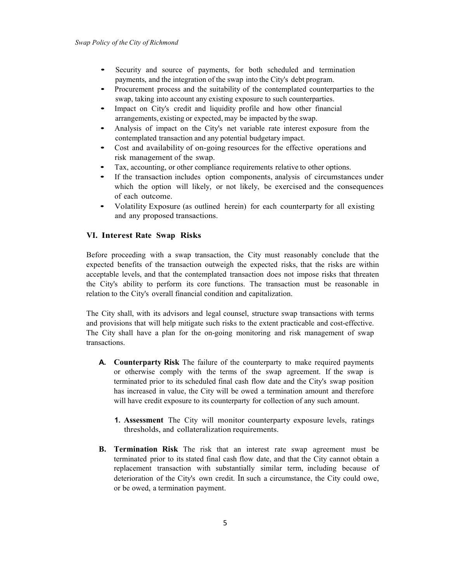- Security and source of payments, for both scheduled and termination payments, and the integration of the swap into the City's debt program.
- Procurement process and the suitability of the contemplated counterparties to the swap, taking into account any existing exposure to such counterparties.
- Impact on City's credit and liquidity profile and how other financial arrangements, existing or expected, may be impacted by the swap.
- Analysis of impact on the City's net variable rate interest exposure from the contemplated transaction and any potential budgetary impact.
- Cost and availability of on-going resources for the effective operations and risk management of the swap.
- Tax, accounting, or other compliance requirements relative to other options.
- If the transaction includes option components, analysis of circumstances under which the option will likely, or not likely, be exercised and the consequences of each outcome.
- Volatility Exposure (as outlined herein) for each counterparty for all existing and any proposed transactions.

#### **VI. Interest Rate Swap Risks**

Before proceeding with a swap transaction, the City must reasonably conclude that the expected benefits of the transaction outweigh the expected risks, that the risks are within acceptable levels, and that the contemplated transaction does not impose risks that threaten the City's ability to perform its core functions. The transaction must be reasonable in relation to the City's overall financial condition and capitalization.

The City shall, with its advisors and legal counsel, structure swap transactions with terms and provisions that will help mitigate such risks to the extent practicable and cost-effective. The City shall have a plan for the on-going monitoring and risk management of swap transactions.

- **A. Counterparty Risk** The failure of the counterparty to make required payments or otherwise comply with the terms of the swap agreement. If the swap is terminated prior to its scheduled final cash flow date and the City's swap position has increased in value, the City will be owed a termination amount and therefore will have credit exposure to its counterparty for collection of any such amount.
	- **1. Assessment** The City will monitor counterparty exposure levels, ratings thresholds, and collateralization requirements.
- **B. Termination Risk** The risk that an interest rate swap agreement must be terminated prior to its stated final cash flow date, and that the City cannot obtain a replacement transaction with substantially similar term, including because of deterioration of the City's own credit. In such a circumstance, the City could owe, or be owed, a termination payment.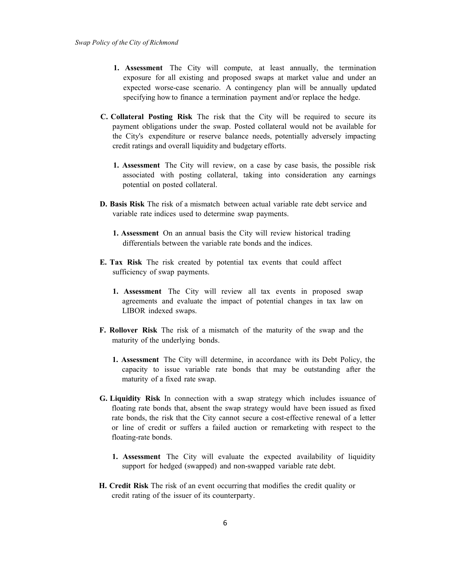- **1. Assessment** The City will compute, at least annually, the termination exposure for all existing and proposed swaps at market value and under an expected worse-case scenario. A contingency plan will be annually updated specifying how to finance a termination payment and/or replace the hedge.
- **C. Collateral Posting Risk** The risk that the City will be required to secure its payment obligations under the swap. Posted collateral would not be available for the City's expenditure or reserve balance needs, potentially adversely impacting credit ratings and overall liquidity and budgetary efforts.
	- **1. Assessment** The City will review, on a case by case basis, the possible risk associated with posting collateral, taking into consideration any earnings potential on posted collateral.
- **D. Basis Risk** The risk of a mismatch between actual variable rate debt service and variable rate indices used to determine swap payments.
	- **1. Assessment** On an annual basis the City will review historical trading differentials between the variable rate bonds and the indices.
- **E. Tax Risk** The risk created by potential tax events that could affect sufficiency of swap payments.
	- **1. Assessment** The City will review all tax events in proposed swap agreements and evaluate the impact of potential changes in tax law on LIBOR indexed swaps.
- **F. Rollover Risk** The risk of a mismatch of the maturity of the swap and the maturity of the underlying bonds.
	- **1. Assessment** The City will determine, in accordance with its Debt Policy, the capacity to issue variable rate bonds that may be outstanding after the maturity of a fixed rate swap.
- **G. Liquidity Risk** In connection with a swap strategy which includes issuance of floating rate bonds that, absent the swap strategy would have been issued as fixed rate bonds, the risk that the City cannot secure a cost-effective renewal of a letter or line of credit or suffers a failed auction or remarketing with respect to the floating-rate bonds.
	- **1. Assessment** The City will evaluate the expected availability of liquidity support for hedged (swapped) and non-swapped variable rate debt.
- **H. Credit Risk** The risk of an event occurring that modifies the credit quality or credit rating of the issuer of its counterparty.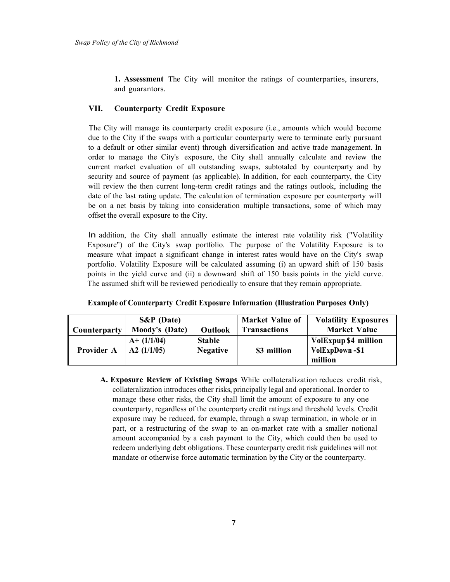**1. Assessment** The City will monitor the ratings of counterparties, insurers, and guarantors.

## **VII. Counterparty Credit Exposure**

The City will manage its counterparty credit exposure (i.e., amounts which would become due to the City if the swaps with a particular counterparty were to terminate early pursuant to a default or other similar event) through diversification and active trade management. In order to manage the City's exposure, the City shall annually calculate and review the current market evaluation of all outstanding swaps, subtotaled by counterparty and by security and source of payment (as applicable). In addition, for each counterparty, the City will review the then current long-term credit ratings and the ratings outlook, including the date of the last rating update. The calculation of termination exposure per counterparty will be on a net basis by taking into consideration multiple transactions, some of which may offset the overall exposure to the City.

In addition, the City shall annually estimate the interest rate volatility risk ("Volatility Exposure") of the City's swap portfolio. The purpose of the Volatility Exposure is to measure what impact a significant change in interest rates would have on the City's swap portfolio. Volatility Exposure will be calculated assuming (i) an upward shift of 150 basis points in the yield curve and (ii) a downward shift of 150 basis points in the yield curve. The assumed shift will be reviewed periodically to ensure that they remain appropriate.

| Counterparty      | $S\&P$ (Date)<br>Moody's (Date)      | Outlook                          | <b>Market Value of</b><br><b>Transactions</b> | <b>Volatility Exposures</b><br><b>Market Value</b> |
|-------------------|--------------------------------------|----------------------------------|-----------------------------------------------|----------------------------------------------------|
| <b>Provider A</b> | $A+ (1/1/04)$<br>$\Delta 2$ (1/1/05) | <b>Stable</b><br><b>Negative</b> | \$3 million                                   | VolExpup \$4 million<br>VolExpDown-\$1<br>million  |

| <b>Example of Counterparty Credit Exposure Information (Illustration Purposes Only)</b> |  |
|-----------------------------------------------------------------------------------------|--|
|-----------------------------------------------------------------------------------------|--|

**A. Exposure Review of Existing Swaps** While collateralization reduces credit risk, collateralization introduces other risks, principally legal and operational. Inorder to manage these other risks, the City shall limit the amount of exposure to any one counterparty, regardless of the counterparty credit ratings and threshold levels. Credit exposure may be reduced, for example, through a swap termination, in whole or in part, or a restructuring of the swap to an on-market rate with a smaller notional amount accompanied by a cash payment to the City, which could then be used to redeem underlying debt obligations. These counterparty credit risk guidelines will not mandate or otherwise force automatic termination by the City or the counterparty.